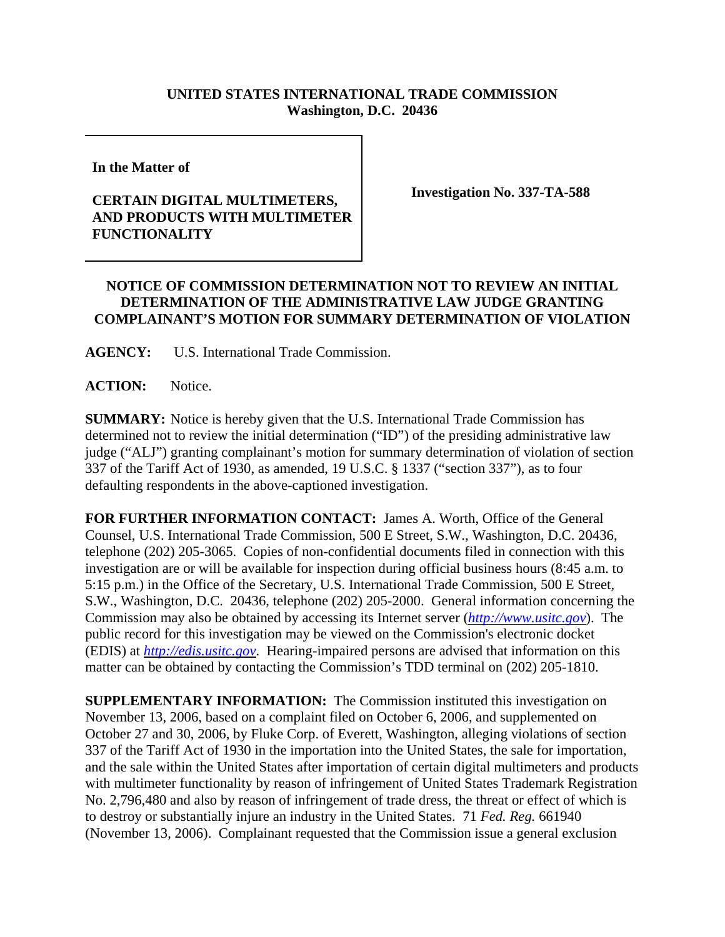## **UNITED STATES INTERNATIONAL TRADE COMMISSION Washington, D.C. 20436**

**In the Matter of**

## **CERTAIN DIGITAL MULTIMETERS, AND PRODUCTS WITH MULTIMETER FUNCTIONALITY**

**Investigation No. 337-TA-588**

## **NOTICE OF COMMISSION DETERMINATION NOT TO REVIEW AN INITIAL DETERMINATION OF THE ADMINISTRATIVE LAW JUDGE GRANTING COMPLAINANT'S MOTION FOR SUMMARY DETERMINATION OF VIOLATION**

**AGENCY:** U.S. International Trade Commission.

**ACTION:** Notice.

**SUMMARY:** Notice is hereby given that the U.S. International Trade Commission has determined not to review the initial determination ("ID") of the presiding administrative law judge ("ALJ") granting complainant's motion for summary determination of violation of section 337 of the Tariff Act of 1930, as amended, 19 U.S.C. § 1337 ("section 337"), as to four defaulting respondents in the above-captioned investigation.

**FOR FURTHER INFORMATION CONTACT:** James A. Worth, Office of the General Counsel, U.S. International Trade Commission, 500 E Street, S.W., Washington, D.C. 20436, telephone (202) 205-3065. Copies of non-confidential documents filed in connection with this investigation are or will be available for inspection during official business hours (8:45 a.m. to 5:15 p.m.) in the Office of the Secretary, U.S. International Trade Commission, 500 E Street, S.W., Washington, D.C. 20436, telephone (202) 205-2000. General information concerning the Commission may also be obtained by accessing its Internet server (*http://www.usitc.gov*). The public record for this investigation may be viewed on the Commission's electronic docket (EDIS) at *http://edis.usitc.gov*. Hearing-impaired persons are advised that information on this matter can be obtained by contacting the Commission's TDD terminal on (202) 205-1810.

**SUPPLEMENTARY INFORMATION:** The Commission instituted this investigation on November 13, 2006, based on a complaint filed on October 6, 2006, and supplemented on October 27 and 30, 2006, by Fluke Corp. of Everett, Washington, alleging violations of section 337 of the Tariff Act of 1930 in the importation into the United States, the sale for importation, and the sale within the United States after importation of certain digital multimeters and products with multimeter functionality by reason of infringement of United States Trademark Registration No. 2,796,480 and also by reason of infringement of trade dress, the threat or effect of which is to destroy or substantially injure an industry in the United States. 71 *Fed. Reg.* 661940 (November 13, 2006). Complainant requested that the Commission issue a general exclusion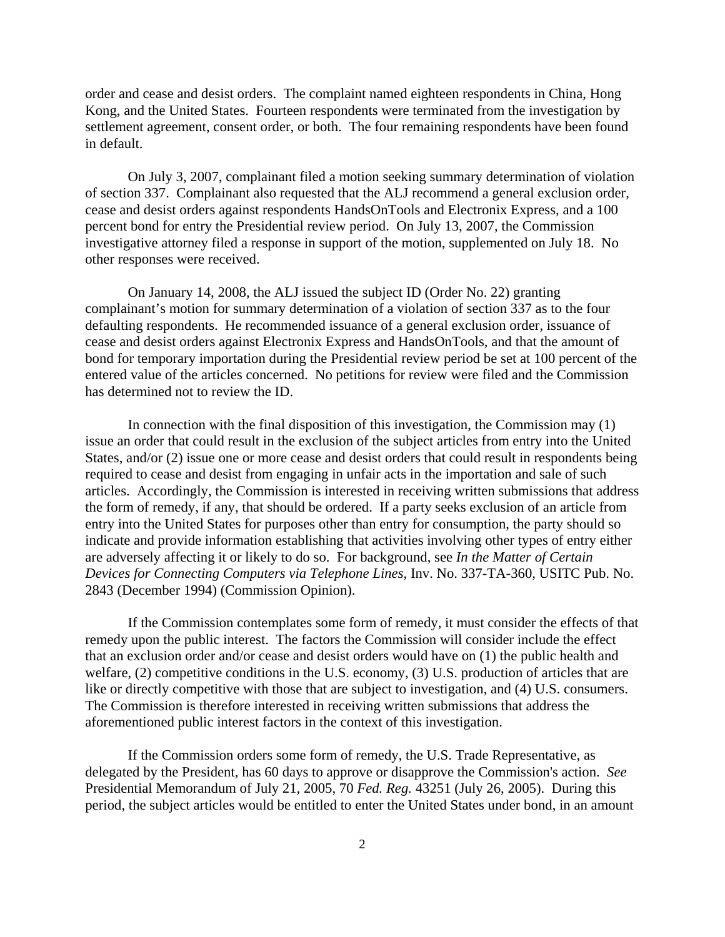order and cease and desist orders. The complaint named eighteen respondents in China, Hong Kong, and the United States. Fourteen respondents were terminated from the investigation by settlement agreement, consent order, or both. The four remaining respondents have been found in default.

On July 3, 2007, complainant filed a motion seeking summary determination of violation of section 337. Complainant also requested that the ALJ recommend a general exclusion order, cease and desist orders against respondents HandsOnTools and Electronix Express, and a 100 percent bond for entry the Presidential review period. On July 13, 2007, the Commission investigative attorney filed a response in support of the motion, supplemented on July 18. No other responses were received.

On January 14, 2008, the ALJ issued the subject ID (Order No. 22) granting complainant's motion for summary determination of a violation of section 337 as to the four defaulting respondents. He recommended issuance of a general exclusion order, issuance of cease and desist orders against Electronix Express and HandsOnTools, and that the amount of bond for temporary importation during the Presidential review period be set at 100 percent of the entered value of the articles concerned. No petitions for review were filed and the Commission has determined not to review the ID.

In connection with the final disposition of this investigation, the Commission may (1) issue an order that could result in the exclusion of the subject articles from entry into the United States, and/or (2) issue one or more cease and desist orders that could result in respondents being required to cease and desist from engaging in unfair acts in the importation and sale of such articles. Accordingly, the Commission is interested in receiving written submissions that address the form of remedy, if any, that should be ordered. If a party seeks exclusion of an article from entry into the United States for purposes other than entry for consumption, the party should so indicate and provide information establishing that activities involving other types of entry either are adversely affecting it or likely to do so. For background, see *In the Matter of Certain Devices for Connecting Computers via Telephone Lines*, Inv. No. 337-TA-360, USITC Pub. No. 2843 (December 1994) (Commission Opinion).

If the Commission contemplates some form of remedy, it must consider the effects of that remedy upon the public interest. The factors the Commission will consider include the effect that an exclusion order and/or cease and desist orders would have on (1) the public health and welfare, (2) competitive conditions in the U.S. economy, (3) U.S. production of articles that are like or directly competitive with those that are subject to investigation, and (4) U.S. consumers. The Commission is therefore interested in receiving written submissions that address the aforementioned public interest factors in the context of this investigation.

If the Commission orders some form of remedy, the U.S. Trade Representative, as delegated by the President, has 60 days to approve or disapprove the Commission's action. *See* Presidential Memorandum of July 21, 2005, 70 *Fed. Reg.* 43251 (July 26, 2005). During this period, the subject articles would be entitled to enter the United States under bond, in an amount